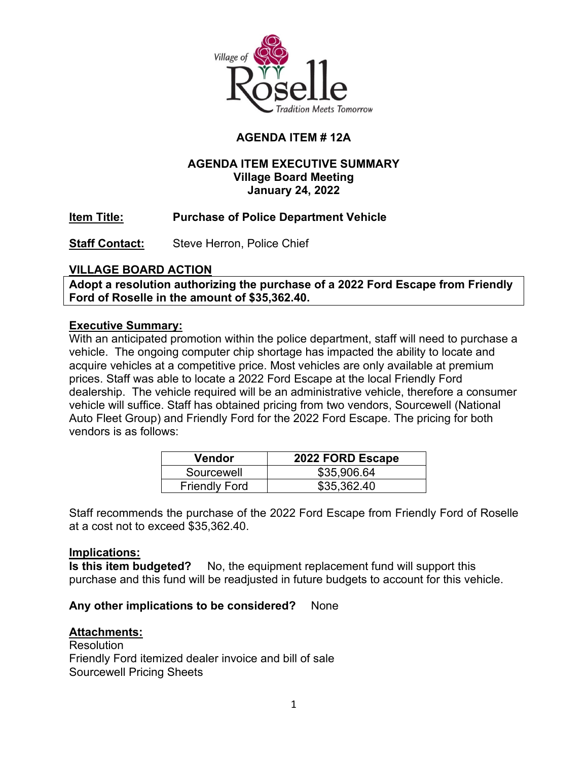

# **AGENDA ITEM # 12A**

### **AGENDA ITEM EXECUTIVE SUMMARY Village Board Meeting January 24, 2022**

### **Item Title: Purchase of Police Department Vehicle**

**Staff Contact:** Steve Herron, Police Chief

### **VILLAGE BOARD ACTION**

**Adopt a resolution authorizing the purchase of a 2022 Ford Escape from Friendly Ford of Roselle in the amount of \$35,362.40.** 

#### **Executive Summary:**

With an anticipated promotion within the police department, staff will need to purchase a vehicle. The ongoing computer chip shortage has impacted the ability to locate and acquire vehicles at a competitive price. Most vehicles are only available at premium prices. Staff was able to locate a 2022 Ford Escape at the local Friendly Ford dealership. The vehicle required will be an administrative vehicle, therefore a consumer vehicle will suffice. Staff has obtained pricing from two vendors, Sourcewell (National Auto Fleet Group) and Friendly Ford for the 2022 Ford Escape. The pricing for both vendors is as follows:

| Vendor               | 2022 FORD Escape |
|----------------------|------------------|
| Sourcewell           | \$35,906.64      |
| <b>Friendly Ford</b> | \$35,362.40      |

Staff recommends the purchase of the 2022 Ford Escape from Friendly Ford of Roselle at a cost not to exceed \$35,362.40.

#### **Implications:**

**Is this item budgeted?** No, the equipment replacement fund will support this purchase and this fund will be readjusted in future budgets to account for this vehicle.

#### **Any other implications to be considered?** None

#### **Attachments:**

**Resolution** Friendly Ford itemized dealer invoice and bill of sale Sourcewell Pricing Sheets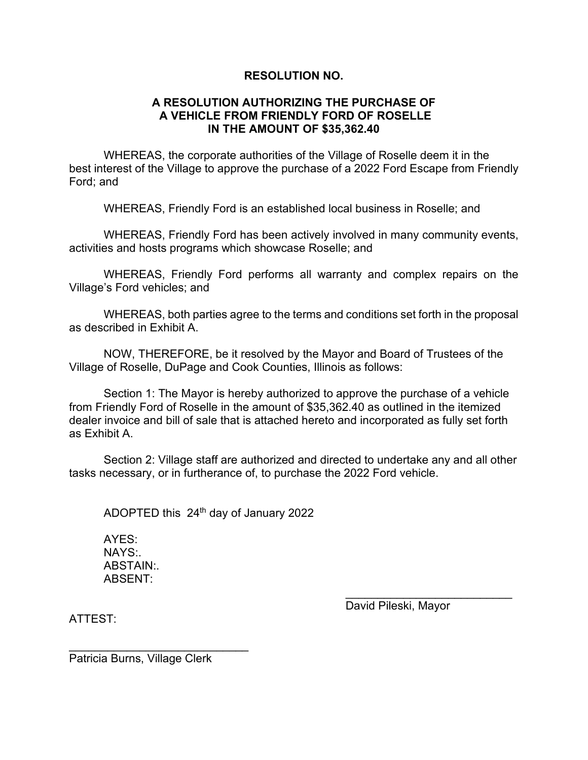#### **RESOLUTION NO.**

#### **A RESOLUTION AUTHORIZING THE PURCHASE OF A VEHICLE FROM FRIENDLY FORD OF ROSELLE IN THE AMOUNT OF \$35,362.40**

WHEREAS, the corporate authorities of the Village of Roselle deem it in the best interest of the Village to approve the purchase of a 2022 Ford Escape from Friendly Ford; and

WHEREAS, Friendly Ford is an established local business in Roselle; and

WHEREAS, Friendly Ford has been actively involved in many community events, activities and hosts programs which showcase Roselle; and

WHEREAS, Friendly Ford performs all warranty and complex repairs on the Village's Ford vehicles; and

WHEREAS, both parties agree to the terms and conditions set forth in the proposal as described in Exhibit A.

NOW, THEREFORE, be it resolved by the Mayor and Board of Trustees of the Village of Roselle, DuPage and Cook Counties, Illinois as follows:

Section 1: The Mayor is hereby authorized to approve the purchase of a vehicle from Friendly Ford of Roselle in the amount of \$35,362.40 as outlined in the itemized dealer invoice and bill of sale that is attached hereto and incorporated as fully set forth as Exhibit A.

Section 2: Village staff are authorized and directed to undertake any and all other tasks necessary, or in furtherance of, to purchase the 2022 Ford vehicle.

ADOPTED this  $24<sup>th</sup>$  day of January 2022

AYES: NAYS:. ABSTAIN:. ABSENT:

ATTEST:

\_\_\_\_\_\_\_\_\_\_\_\_\_\_\_\_\_\_\_\_\_\_\_\_\_\_ David Pileski, Mayor

Patricia Burns, Village Clerk

\_\_\_\_\_\_\_\_\_\_\_\_\_\_\_\_\_\_\_\_\_\_\_\_\_\_\_\_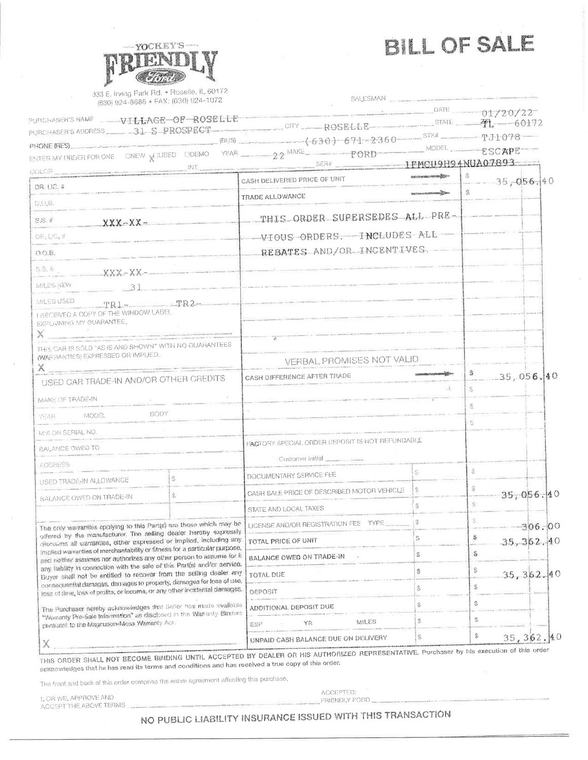**BILL OF SALE** 

**SALESMAN** 



333 E. Irving Park Rd. \* Roselle. IL 60172<br>(630) 924-8686 \* FAX: (630) 924-1072

| PURCHASER'S NAME VILLAGE OF ROSELLE                                                                                                                                                                                                                                                                                                                                                                                                                                                                                                   |                                                                                                         | the control of the control of the control of<br>PHONE (RES) $(905)$ $(905)$ $(905)$ $(630)$ $671 - 2360$ $878$ $870$                                                                                                          |                             |                 | 04720722     |
|---------------------------------------------------------------------------------------------------------------------------------------------------------------------------------------------------------------------------------------------------------------------------------------------------------------------------------------------------------------------------------------------------------------------------------------------------------------------------------------------------------------------------------------|---------------------------------------------------------------------------------------------------------|-------------------------------------------------------------------------------------------------------------------------------------------------------------------------------------------------------------------------------|-----------------------------|-----------------|--------------|
|                                                                                                                                                                                                                                                                                                                                                                                                                                                                                                                                       |                                                                                                         | ENTER MY ORDER FOR ONE CINEW $\chi^{\text{TUSED}}$ COEMO YEAR $-22$ <sup>MAKE</sup> $ \Gamma$ ORD MODEL MODEL $\Gamma$ ESCAPE<br>COLOR SER SER SER PRODUCT PRODUCT ANUAO7893                                                  |                             |                 |              |
|                                                                                                                                                                                                                                                                                                                                                                                                                                                                                                                                       |                                                                                                         | CASH DELIVERED PRICE OF UNIT                                                                                                                                                                                                  |                             |                 |              |
| DR. UC. F                                                                                                                                                                                                                                                                                                                                                                                                                                                                                                                             |                                                                                                         |                                                                                                                                                                                                                               | шомнимичей»                 | S               | $-25,056,40$ |
| D.O.B.                                                                                                                                                                                                                                                                                                                                                                                                                                                                                                                                |                                                                                                         | TRADE ALLOWANCE                                                                                                                                                                                                               |                             |                 |              |
| S.S. 2                                                                                                                                                                                                                                                                                                                                                                                                                                                                                                                                | $XXX-XX-$                                                                                               | THIS ORDER SUPERSEDES ALL PRE-                                                                                                                                                                                                |                             |                 |              |
| DRILIG.#                                                                                                                                                                                                                                                                                                                                                                                                                                                                                                                              |                                                                                                         |                                                                                                                                                                                                                               |                             |                 |              |
| DO.B.                                                                                                                                                                                                                                                                                                                                                                                                                                                                                                                                 |                                                                                                         | REBATES AND/OR INCENTIVES.                                                                                                                                                                                                    |                             |                 |              |
| $S.S.$ $%$<br>$\overline{XXX-XX}$                                                                                                                                                                                                                                                                                                                                                                                                                                                                                                     |                                                                                                         |                                                                                                                                                                                                                               |                             |                 |              |
| MILES NEW                                                                                                                                                                                                                                                                                                                                                                                                                                                                                                                             |                                                                                                         | $31$ . The contract of the contract of the contract of the contract of the contract of the contract of the contract of the contract of the contract of the contract of the contract of the contract of the contract of the co |                             |                 |              |
| MILES USED                                                                                                                                                                                                                                                                                                                                                                                                                                                                                                                            | $\begin{tabular}{c} {\bf{TR1}} \end{tabular} \begin{tabular}{c} {\bf{TR2}} \end{tabular} \end{tabular}$ |                                                                                                                                                                                                                               |                             |                 |              |
| I RECEIVED A COPY OF THE WINDOW LABEL.<br>EXPLAINING MY GUARANTEE.<br>X                                                                                                                                                                                                                                                                                                                                                                                                                                                               |                                                                                                         |                                                                                                                                                                                                                               |                             |                 |              |
| THIS CAR IS SOLD "AS IS AND SHOWN" WITH NO GUARANTEES                                                                                                                                                                                                                                                                                                                                                                                                                                                                                 |                                                                                                         |                                                                                                                                                                                                                               |                             |                 |              |
| <b>(WARRANTIES) EXPRESSED OR IMPLIED.</b><br>$\times$                                                                                                                                                                                                                                                                                                                                                                                                                                                                                 |                                                                                                         | VERBAL PROMISES NOT VALID                                                                                                                                                                                                     |                             |                 |              |
| USED CAR TRADE-IN AND/OR OTHER CREDITS                                                                                                                                                                                                                                                                                                                                                                                                                                                                                                |                                                                                                         | <b>CASH DIFFERENCE AFTER TRADE</b>                                                                                                                                                                                            |                             |                 | $-35,056,40$ |
|                                                                                                                                                                                                                                                                                                                                                                                                                                                                                                                                       |                                                                                                         |                                                                                                                                                                                                                               |                             | 蓦               |              |
| MAKE OF TRADE-IN                                                                                                                                                                                                                                                                                                                                                                                                                                                                                                                      | - BODY                                                                                                  |                                                                                                                                                                                                                               |                             | S.              |              |
| YEAR MODEL                                                                                                                                                                                                                                                                                                                                                                                                                                                                                                                            |                                                                                                         |                                                                                                                                                                                                                               |                             | S.              |              |
| MALLOR SERIAL NO.                                                                                                                                                                                                                                                                                                                                                                                                                                                                                                                     |                                                                                                         | <b>FACTORY SPECIAL ORDER DEPOSIT IS NOT REFUNDABLE</b>                                                                                                                                                                        |                             |                 |              |
| BALANCE OWED TO                                                                                                                                                                                                                                                                                                                                                                                                                                                                                                                       |                                                                                                         | Customer initial                                                                                                                                                                                                              |                             |                 |              |
| AOORESS                                                                                                                                                                                                                                                                                                                                                                                                                                                                                                                               |                                                                                                         | DOCUMENTARY SERVICE FEE                                                                                                                                                                                                       | $\mathcal{G}$               | S               |              |
| USED TRADE IN ALLOWANCE                                                                                                                                                                                                                                                                                                                                                                                                                                                                                                               | S                                                                                                       | CASH SALE PRICE OF DESCRIBED MOTOR VEHICLE                                                                                                                                                                                    | $\mathcal{L}_{\mathcal{L}}$ | 番               |              |
| <b>BALANCE OWED ON TRADE-IN</b>                                                                                                                                                                                                                                                                                                                                                                                                                                                                                                       | Ŝ.                                                                                                      |                                                                                                                                                                                                                               | 洽                           | $\mathcal{G}_2$ | 35,056,40    |
|                                                                                                                                                                                                                                                                                                                                                                                                                                                                                                                                       |                                                                                                         | STATE AND LOCAL TAXES                                                                                                                                                                                                         |                             | S.              |              |
| The only warrantles applying to this Part(s) are those which may be<br>offered by the manufacturer. The selling dealer hereby expressly                                                                                                                                                                                                                                                                                                                                                                                               |                                                                                                         | LIGENSE AND/OR REGISTRATION FEE TYPE                                                                                                                                                                                          |                             | s               | $-306.00$    |
| discissions all warrantles, either expressed or implied, including any<br>implied warranties of merchantability or fitness for a particular purpose,<br>and neither assumes nor authorizes any other person to assume for it<br>any liability in connection with the sale of this Part(s) and/or service.<br>Buyer shall not be entitled to recover from the selling dealer any<br>consequential damages, damages to property, damages for loss of use,<br>loss of time, loss of profits, or income, or any other incidental damages. |                                                                                                         | TOTAL PRICE OF UNIT                                                                                                                                                                                                           |                             |                 | 35, 362, 40  |
|                                                                                                                                                                                                                                                                                                                                                                                                                                                                                                                                       |                                                                                                         | <b>BALANCE OWED ON TRADE-IN</b>                                                                                                                                                                                               | Ŝ                           | Ś.              |              |
|                                                                                                                                                                                                                                                                                                                                                                                                                                                                                                                                       |                                                                                                         | <b>TOTAL DUE</b>                                                                                                                                                                                                              | \$                          | S               | 35, 362, 40  |
|                                                                                                                                                                                                                                                                                                                                                                                                                                                                                                                                       |                                                                                                         | DEPOSIT                                                                                                                                                                                                                       | 魯                           | Ś.              |              |
| The Purchaser nereby acknowledges that Seller has made available<br>"Warranty Pre-Sale Information" as disclosed in the Warranty Binders<br>pursuant to the Magnuson-Moss Warranty Act.                                                                                                                                                                                                                                                                                                                                               |                                                                                                         | additional deposit due                                                                                                                                                                                                        | \$                          | ₫               |              |
|                                                                                                                                                                                                                                                                                                                                                                                                                                                                                                                                       |                                                                                                         | MH.ES<br><b>YR</b><br>ESP                                                                                                                                                                                                     | \$                          | 寫               |              |
| Χ.                                                                                                                                                                                                                                                                                                                                                                                                                                                                                                                                    |                                                                                                         | UNPAID CASH BALANCE DUE ON DELIVERY                                                                                                                                                                                           | Ŝ                           | S               | 35, 362, 40  |

THIS ORDER SHALL NOT BECOME BINDING UNTIL ACCEPTED BY DEALER OR HIS AUTHORIZED REPRESENTATIVE. PU acknowledges that he has read its terms and conditions and has received a true copy of this order.

The front and back of this order comprise the entire agreement affecting this purchase.

AGGIPTED: FRIENDLY FORD

I OR WE APPROVE AND ACCEPT THE ABOVE TERMS

NO PUBLIC LIABILITY INSURANCE ISSUED WITH THIS TRANSACTION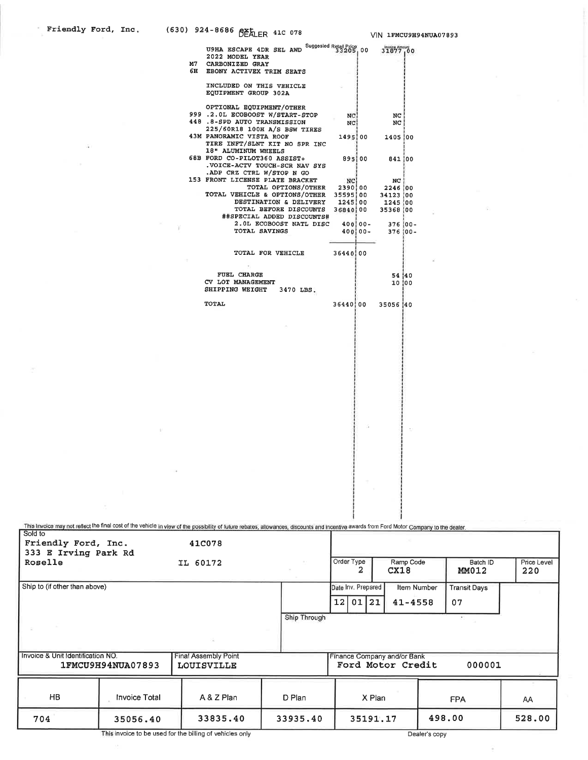|    |      | DEALER THE UTP                                                                                                                      |          |          | VIN LFMCU9H9      |  |
|----|------|-------------------------------------------------------------------------------------------------------------------------------------|----------|----------|-------------------|--|
|    | 6H . | Suggested Retail Price<br>33205, 00<br>U9HA ESCAPE 4DR SEL AWD<br>2022 MODEL YEAR<br>M7 CARBONIZED GRAY<br>EBONY ACTIVEX TRIM SEATS |          |          | 31877,00          |  |
|    |      | INCLUDED ON THIS VEHICLE<br>EQUIPMENT GROUP 302A                                                                                    |          |          |                   |  |
|    |      | OPTIONAL EQUIPMENT/OTHER                                                                                                            |          |          |                   |  |
|    |      | 999 .2.0L ECOBOOST W/START-STOP                                                                                                     | NC.      |          | NC                |  |
|    |      | 448 .8-SPD AUTO TRANSMISSION                                                                                                        | NC.      |          | <b>NC</b>         |  |
|    |      | 225/60R18 100H A/S BSW TIRES                                                                                                        |          |          |                   |  |
|    |      | 43M PANORAMIC VISTA ROOF                                                                                                            | 1495 00  |          | 1405 00           |  |
|    |      | TIRE INFT/SLNT KIT NO SPR INC                                                                                                       |          |          |                   |  |
|    |      | 18" ALUMINUM WHEELS                                                                                                                 |          |          |                   |  |
|    |      | 68B FORD CO-PILOT360 ASSIST+                                                                                                        |          | 895 00   | 841 00            |  |
|    |      | . VOICE-ACTV TOUCH-SCR NAV SYS                                                                                                      |          |          |                   |  |
|    |      | .ADP CRZ CTRL W/STOP N GO                                                                                                           |          |          |                   |  |
|    |      | 153 FRONT LICENSE PLATE BRACKET                                                                                                     | NC.      |          | NC                |  |
|    |      | TOTAL OPTIONS/OTHER 2390 00 2246 00<br>TOTAL VEHICLE & OPTIONS/OTHER 35595 00 34123 00                                              |          |          |                   |  |
|    |      |                                                                                                                                     |          |          |                   |  |
|    |      | DESTINATION & DELIVERY 1245 00 1245 00                                                                                              |          |          |                   |  |
|    |      | TOTAL BEFORE DISCOUNTS                                                                                                              |          |          | 36840 00 35368 00 |  |
|    |      | ##SPECIAL ADDED DISCOUNTS#                                                                                                          |          |          |                   |  |
| ¥. |      | 2.0L ECOBOOST NATL DISC 400 00- 376 00-                                                                                             |          |          |                   |  |
|    |      | <b>TOTAL SAVINGS</b>                                                                                                                |          | 400 00 - | $376100 -$        |  |
|    |      |                                                                                                                                     |          |          |                   |  |
|    |      |                                                                                                                                     |          |          |                   |  |
|    |      | TOTAL FOR VEHICLE                                                                                                                   | 36440 00 |          |                   |  |
|    |      | T.                                                                                                                                  |          |          |                   |  |
|    |      |                                                                                                                                     |          |          |                   |  |
|    |      | FUEL CHARGE                                                                                                                         |          |          | 54 40             |  |
|    |      | CV LOT MANAGEMENT                                                                                                                   |          |          | 10:00             |  |
|    |      | SHIPPING WEIGHT<br>3470 LBS.                                                                                                        |          |          |                   |  |
|    |      | TOTAL                                                                                                                               | 36440 00 |          | 35056 40          |  |
|    |      |                                                                                                                                     |          |          |                   |  |

|         | This invoice may not reflect the final cost of the vehicle in view of the possibility of future rebates, allowances, discounts and incentive awards from Ford Motor Company to the dealer. |
|---------|--------------------------------------------------------------------------------------------------------------------------------------------------------------------------------------------|
| Sold to |                                                                                                                                                                                            |

| Friendly Ford, Inc.<br>333 E Irving Park Rd |                      | 41C078                             |              |                    |                                                  |                                    |                    |
|---------------------------------------------|----------------------|------------------------------------|--------------|--------------------|--------------------------------------------------|------------------------------------|--------------------|
| Roselle                                     |                      | IL 60172                           |              | Order Type         | Ramp Code<br>CX18                                | Batch ID<br>MM012                  | Price Level<br>220 |
| Ship to (if other than above)               |                      |                                    |              | Date Inv. Prepared |                                                  | Item Number<br><b>Transit Days</b> |                    |
|                                             |                      |                                    |              | 12 01 21           | $41 - 4558$                                      | 07                                 |                    |
|                                             |                      |                                    | Ship Through |                    |                                                  |                                    |                    |
| $\sim$                                      |                      |                                    |              |                    |                                                  |                                    |                    |
| Invoice & Unit Identification NO.           | 1FMCU9H94NUA07893    | Final Assembly Point<br>LOUISVILLE |              |                    | Finance Company and/or Bank<br>Ford Motor Credit | 000001                             |                    |
| <b>HB</b>                                   | <b>Invoice Total</b> | A & Z Plan                         | D Plan       |                    | X Plan                                           | <b>FPA</b>                         | AA                 |
| 704                                         | 35056.40             | 33835.40                           | 33935.40     |                    | 35191.17                                         | 498.00                             | 528.00             |